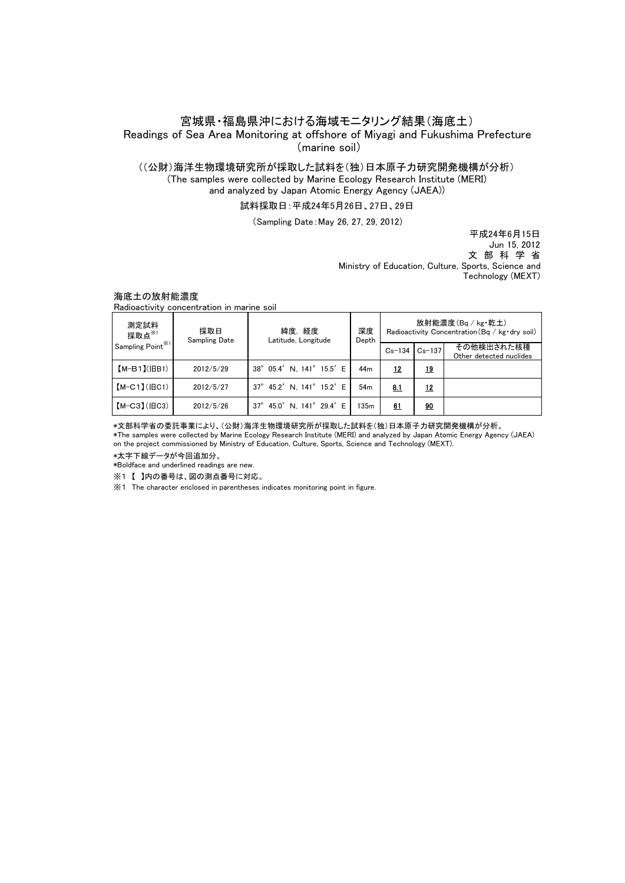# 宮城県・福島県沖における海域モニタリング結果(海底土) Readings of Sea Area Monitoring at offshore of Miyagi and Fukushima Prefecture

(marine soil)

### ((公財)海洋生物環境研究所が採取した試料を(独)日本原子力研究開発機構が分析) (The samples were collected by Marine Ecology Research Institute (MERI)

and analyzed by Japan Atomic Energy Agency (JAEA))

### 試料採取日:平成24年5月26日、27日、29日

(Sampling Date:May 26, 27, 29, 2012)

 Jun 15, 2012 文 部 科 学 省 平成24年6月15日 Ministry of Education, Culture, Sports, Science and Technology (MEXT)

### 海底土の放射能濃度

Radioactivity concentration in marine soil

| 測定試料<br>採取点※1<br>Sampling $Point^{\mathbb{X}^1}$ | 採取日<br><b>Sampling Date</b> | 緯度.経度<br>Latitude, Longitude        | 深度<br>Depth     | 放射能濃度(Bg / kg·乾土)<br>Radioactivity Concentration (Bq / kg · dry soil) |           |                                       |
|--------------------------------------------------|-----------------------------|-------------------------------------|-----------------|-----------------------------------------------------------------------|-----------|---------------------------------------|
|                                                  |                             |                                     |                 | $Cs - 134$                                                            | $Cs-137$  | その他検出された核種<br>Other detected nuclides |
| $[M-B1]$ ( $ BB1$ )                              | 2012/5/29                   | 38° 05.4' N. 141° 15.5' E           | 44 <sub>m</sub> | <u>12</u>                                                             | <u>19</u> |                                       |
| $[M-C1]$ ( $ BC1$ )                              | 2012/5/27                   | 37° 45.2' N. 141° 15.2' E           | 54 <sub>m</sub> | 8.1                                                                   | 12        |                                       |
| $[M-C3] (HC3)$                                   | 2012/5/26                   | 45.0' N. 141° 29.4' E<br>$37^\circ$ | 135m            | 61                                                                    | 90        |                                       |

\*文部科学省の委託事業により、(公財)海洋生物環境研究所が採取した試料を(独)日本原子力研究開発機構が分析。 \*The samples were collected by Marine Ecology Research Institute (MERI) and analyzed by Japan Atomic Energy Agency (JAEA) on the project commissioned by Ministry of Education, Culture, Sports, Science and Technology (MEXT).

\*太字下線データが今回追加分。

\*Boldface and underlined readings are new.

※1 【 】内の番号は、図の測点番号に対応。

※1 The character enclosed in parentheses indicates monitoring point in figure.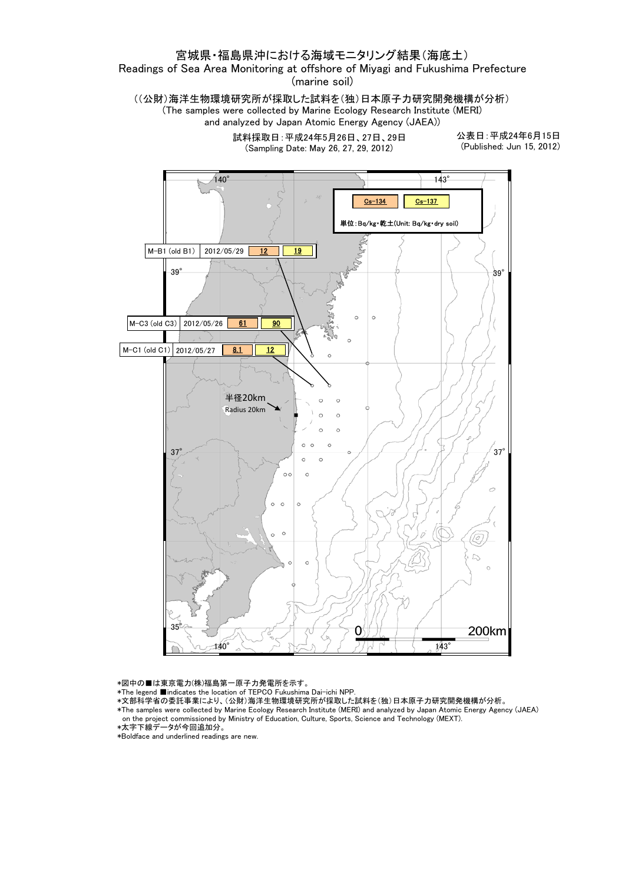## 宮城県・福島県沖における海域モニタリング結果(海底土)

Readings of Sea Area Monitoring at offshore of Miyagi and Fukushima Prefecture (marine soil)

((公財)海洋生物環境研究所が採取した試料を(独)日本原子力研究開発機構が分析) (The samples were collected by Marine Ecology Research Institute (MERI) and analyzed by Japan Atomic Energy Agency (JAEA))

> 試料採取日:平成24年5月26日、27日、29日 (Sampling Date: May 26, 27, 29, 2012)

公表日:平成24年6月15日 (Published: Jun 15, 2012)



\*図中の■は東京電力(株)福島第一原子力発電所を示す。

\*The legend ■indicates the location of TEPCO Fukushima Dai-ichi NPP.

- \*文部科学省の委託事業により、(公財)海洋生物環境研究所が採取した試料を(独)日本原子力研究開発機構が分析。
- \*The samples were collected by Marine Ecology Research Institute (MERI) and analyzed by Japan Atomic Energy Agency (JAEA) on the project commissioned by Ministry of Education, Culture, Sports, Science and Technology (MEXT).

\*Boldface and underlined readings are new.

<sup>\*</sup>太字下線データが今回追加分。